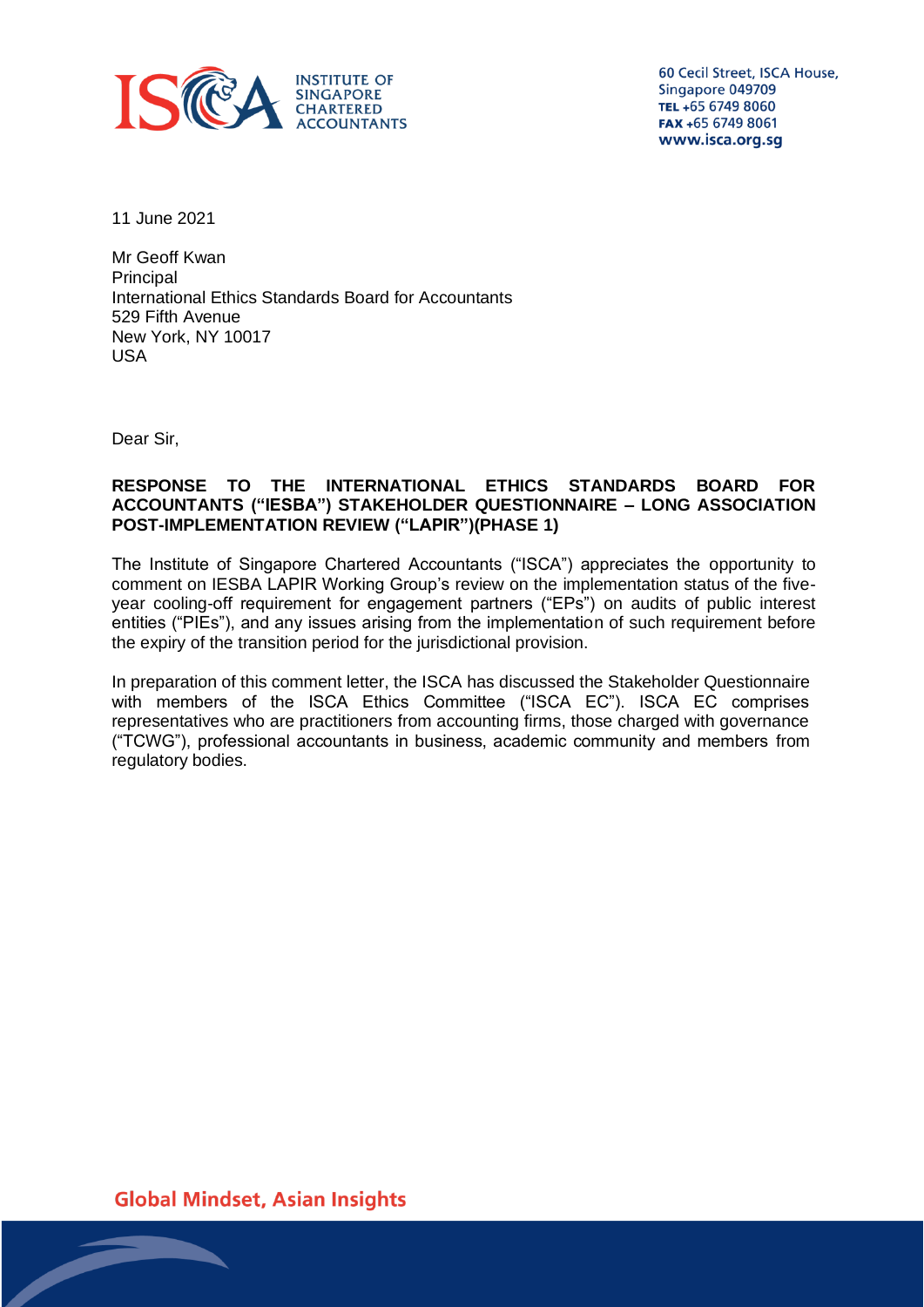

60 Cecil Street, ISCA House, Singapore 049709 TEL +65 6749 8060 FAX +65 6749 8061 www.isca.org.sg

11 June 2021

Mr Geoff Kwan Principal International Ethics Standards Board for Accountants 529 Fifth Avenue New York, NY 10017 USA

Dear Sir,

# **RESPONSE TO THE INTERNATIONAL ETHICS STANDARDS BOARD FOR ACCOUNTANTS ("IESBA") STAKEHOLDER QUESTIONNAIRE – LONG ASSOCIATION POST-IMPLEMENTATION REVIEW ("LAPIR")(PHASE 1)**

The Institute of Singapore Chartered Accountants ("ISCA") appreciates the opportunity to comment on IESBA LAPIR Working Group's review on the implementation status of the fiveyear cooling-off requirement for engagement partners ("EPs") on audits of public interest entities ("PIEs"), and any issues arising from the implementation of such requirement before the expiry of the transition period for the jurisdictional provision.

In preparation of this comment letter, the ISCA has discussed the Stakeholder Questionnaire with members of the ISCA Ethics Committee ("ISCA EC"). ISCA EC comprises representatives who are practitioners from accounting firms, those charged with governance ("TCWG"), professional accountants in business, academic community and members from regulatory bodies.

**Global Mindset, Asian Insights**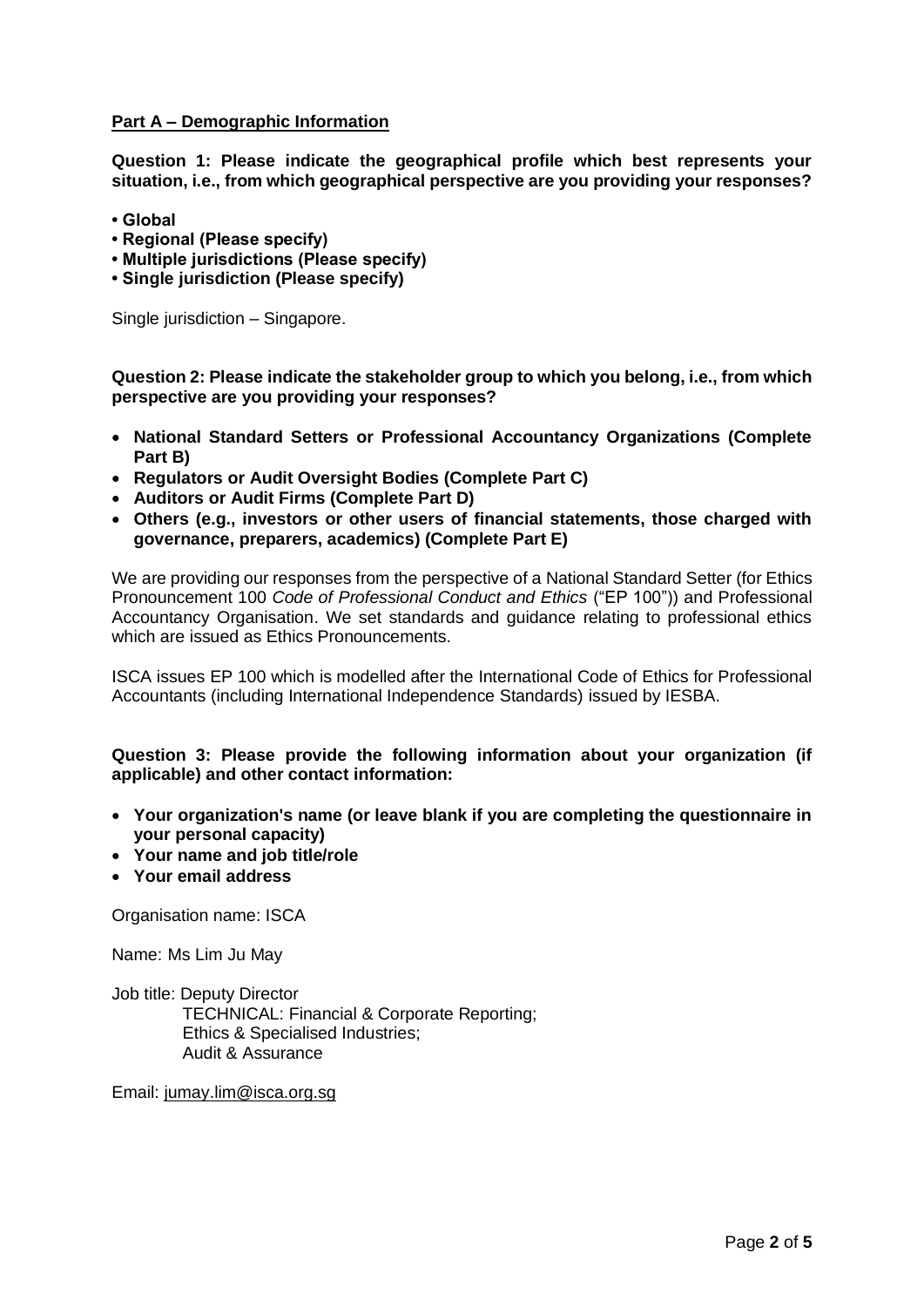# **Part A – Demographic Information**

**Question 1: Please indicate the geographical profile which best represents your situation, i.e., from which geographical perspective are you providing your responses?** 

- **Global**
- **Regional (Please specify)**
- **Multiple jurisdictions (Please specify)**
- **Single jurisdiction (Please specify)**

Single jurisdiction – Singapore.

**Question 2: Please indicate the stakeholder group to which you belong, i.e., from which perspective are you providing your responses?** 

- **National Standard Setters or Professional Accountancy Organizations (Complete Part B)**
- **Regulators or Audit Oversight Bodies (Complete Part C)**
- **Auditors or Audit Firms (Complete Part D)**
- **Others (e.g., investors or other users of financial statements, those charged with governance, preparers, academics) (Complete Part E)**

We are providing our responses from the perspective of a National Standard Setter (for Ethics Pronouncement 100 *Code of Professional Conduct and Ethics* ("EP 100")) and Professional Accountancy Organisation. We set standards and guidance relating to professional ethics which are issued as Ethics Pronouncements.

ISCA issues EP 100 which is modelled after the International Code of Ethics for Professional Accountants (including International Independence Standards) issued by IESBA.

# **Question 3: Please provide the following information about your organization (if applicable) and other contact information:**

- **Your organization's name (or leave blank if you are completing the questionnaire in your personal capacity)**
- **Your name and job title/role**
- **Your email address**

Organisation name: ISCA

Name: Ms Lim Ju May

Job title: Deputy Director TECHNICAL: Financial & Corporate Reporting; Ethics & Specialised Industries; Audit & Assurance

Email: [jumay.lim@isca.org.sg](mailto:jumay.lim@isca.org.sg)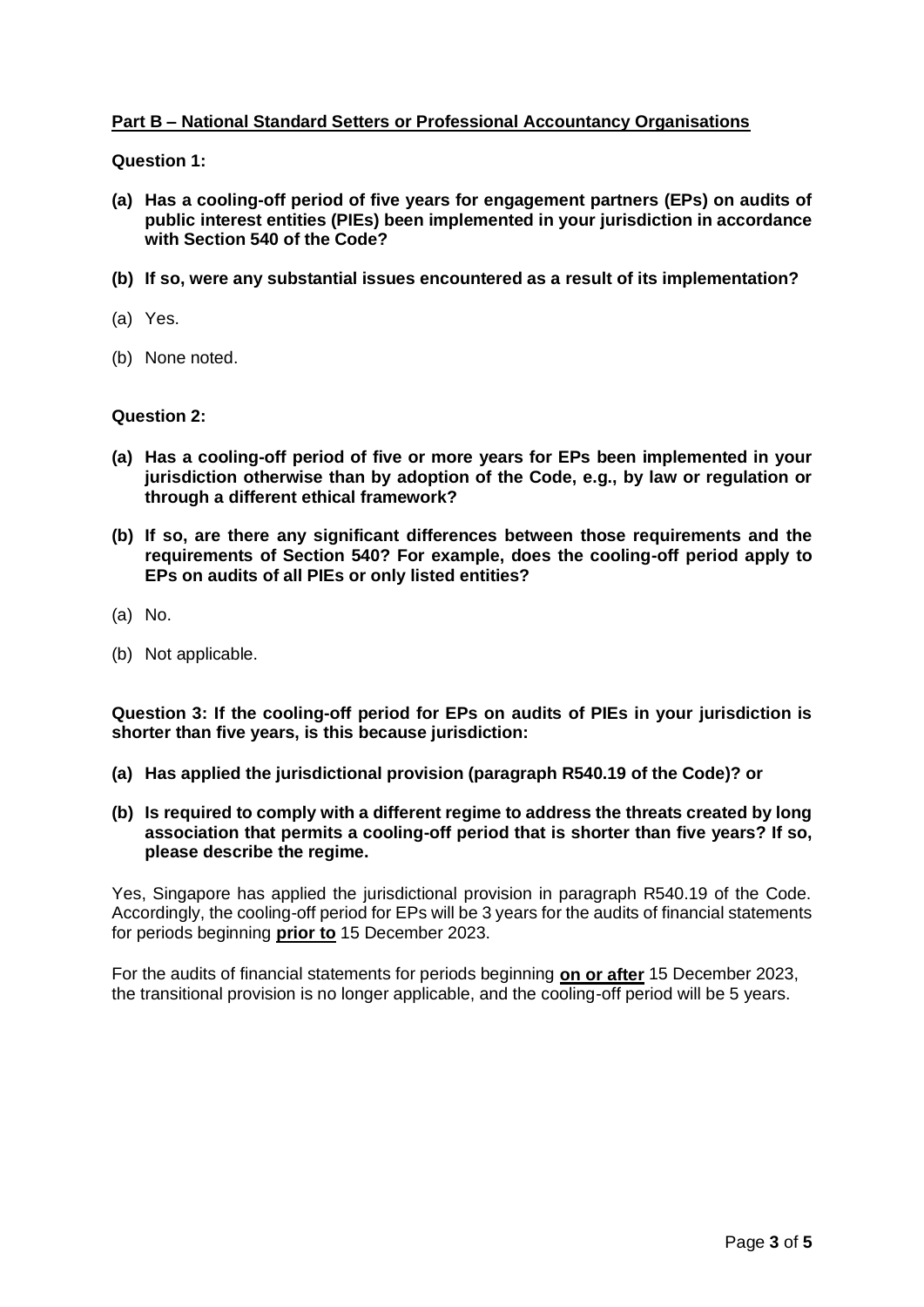# **Part B – National Standard Setters or Professional Accountancy Organisations**

**Question 1:** 

- **(a) Has a cooling-off period of five years for engagement partners (EPs) on audits of public interest entities (PIEs) been implemented in your jurisdiction in accordance with Section 540 of the Code?**
- **(b) If so, were any substantial issues encountered as a result of its implementation?**
- (a) Yes.
- (b) None noted.

#### **Question 2:**

- **(a) Has a cooling-off period of five or more years for EPs been implemented in your jurisdiction otherwise than by adoption of the Code, e.g., by law or regulation or through a different ethical framework?**
- **(b) If so, are there any significant differences between those requirements and the requirements of Section 540? For example, does the cooling-off period apply to EPs on audits of all PIEs or only listed entities?**
- (a) No.
- (b) Not applicable.

**Question 3: If the cooling-off period for EPs on audits of PIEs in your jurisdiction is shorter than five years, is this because jurisdiction:** 

- **(a) Has applied the jurisdictional provision (paragraph R540.19 of the Code)? or**
- **(b) Is required to comply with a different regime to address the threats created by long association that permits a cooling-off period that is shorter than five years? If so, please describe the regime.**

Yes, Singapore has applied the jurisdictional provision in paragraph R540.19 of the Code. Accordingly, the cooling-off period for EPs will be 3 years for the audits of financial statements for periods beginning **prior to** 15 December 2023.

For the audits of financial statements for periods beginning **on or after** 15 December 2023, the transitional provision is no longer applicable, and the cooling-off period will be 5 years.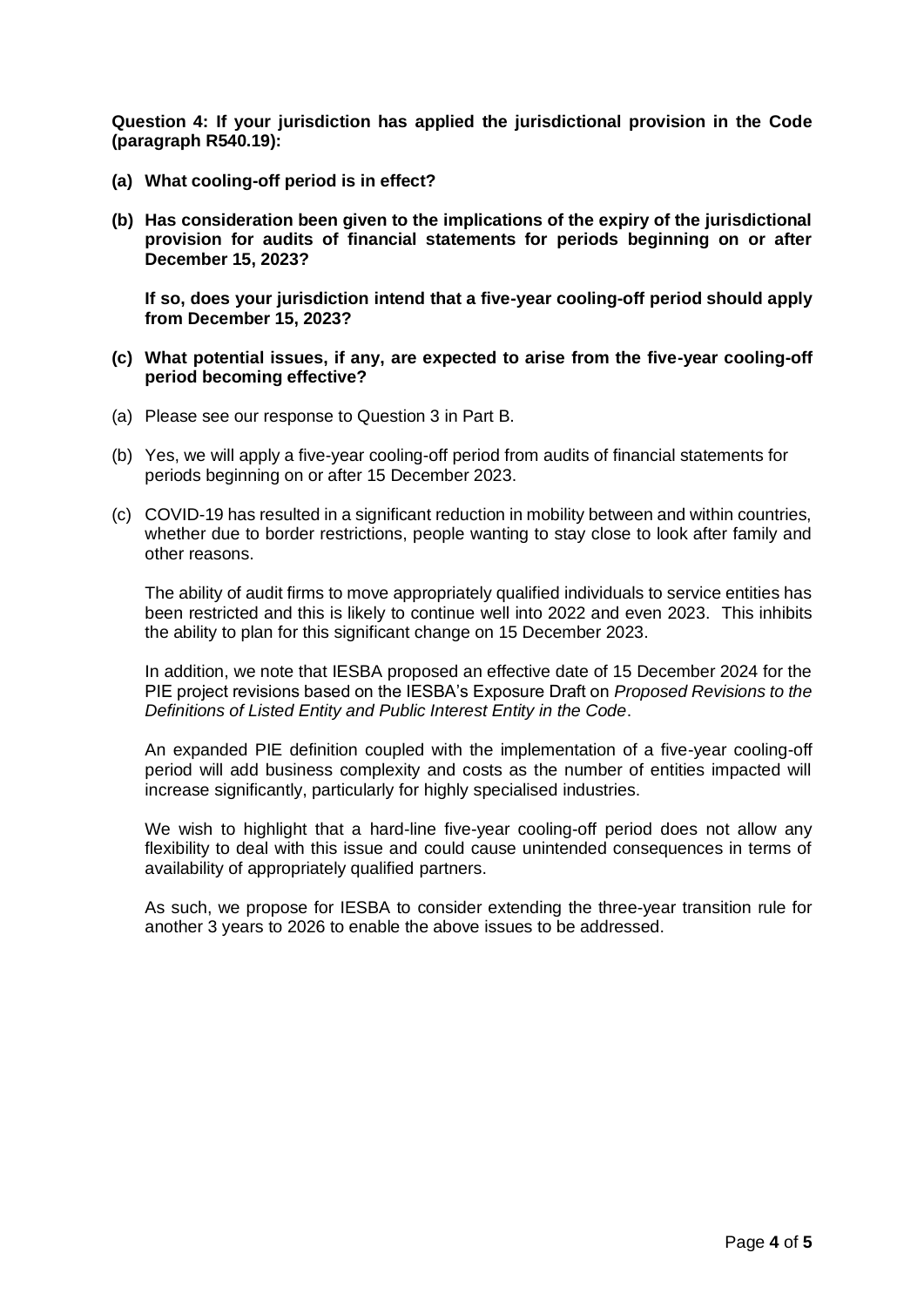**Question 4: If your jurisdiction has applied the jurisdictional provision in the Code (paragraph R540.19):** 

- **(a) What cooling-off period is in effect?**
- **(b) Has consideration been given to the implications of the expiry of the jurisdictional provision for audits of financial statements for periods beginning on or after December 15, 2023?**

**If so, does your jurisdiction intend that a five-year cooling-off period should apply from December 15, 2023?**

- **(c) What potential issues, if any, are expected to arise from the five-year cooling-off period becoming effective?**
- (a) Please see our response to Question 3 in Part B.
- (b) Yes, we will apply a five-year cooling-off period from audits of financial statements for periods beginning on or after 15 December 2023.
- (c) COVID-19 has resulted in a significant reduction in mobility between and within countries, whether due to border restrictions, people wanting to stay close to look after family and other reasons.

The ability of audit firms to move appropriately qualified individuals to service entities has been restricted and this is likely to continue well into 2022 and even 2023. This inhibits the ability to plan for this significant change on 15 December 2023.

In addition, we note that IESBA proposed an effective date of 15 December 2024 for the PIE project revisions based on the IESBA's Exposure Draft on *Proposed Revisions to the Definitions of Listed Entity and Public Interest Entity in the Code*.

An expanded PIE definition coupled with the implementation of a five-year cooling-off period will add business complexity and costs as the number of entities impacted will increase significantly, particularly for highly specialised industries.

We wish to highlight that a hard-line five-year cooling-off period does not allow any flexibility to deal with this issue and could cause unintended consequences in terms of availability of appropriately qualified partners.

As such, we propose for IESBA to consider extending the three-year transition rule for another 3 years to 2026 to enable the above issues to be addressed.